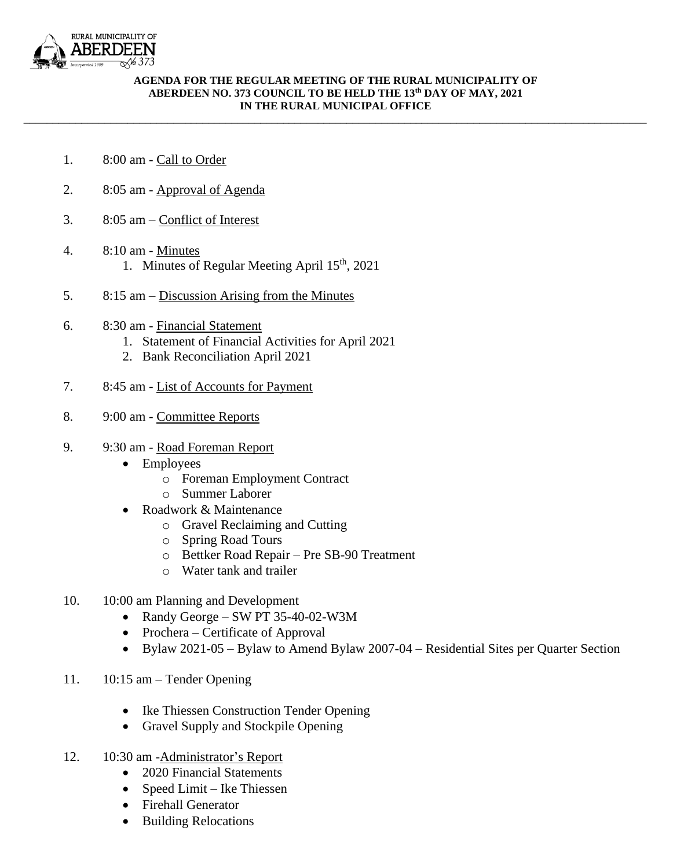

## **AGENDA FOR THE REGULAR MEETING OF THE RURAL MUNICIPALITY OF ABERDEEN NO. 373 COUNCIL TO BE HELD THE 13 th DAY OF MAY, 2021 IN THE RURAL MUNICIPAL OFFICE**

\_\_\_\_\_\_\_\_\_\_\_\_\_\_\_\_\_\_\_\_\_\_\_\_\_\_\_\_\_\_\_\_\_\_\_\_\_\_\_\_\_\_\_\_\_\_\_\_\_\_\_\_\_\_\_\_\_\_\_\_\_\_\_\_\_\_\_\_\_\_\_\_\_\_\_\_\_\_\_\_\_\_\_\_\_\_\_\_\_\_\_\_\_\_\_\_\_\_\_\_\_\_\_\_\_\_\_\_

- 1. 8:00 am Call to Order
- 2. 8:05 am Approval of Agenda
- 3. 8:05 am Conflict of Interest
- 4. 8:10 am Minutes 1. Minutes of Regular Meeting April 15<sup>th</sup>, 2021
- 5. 8:15 am Discussion Arising from the Minutes
- 6. 8:30 am Financial Statement
	- 1. Statement of Financial Activities for April 2021
	- 2. Bank Reconciliation April 2021
- 7. 8:45 am List of Accounts for Payment
- 8. 9:00 am Committee Reports
- 9. 9:30 am Road Foreman Report
	- Employees
		- o Foreman Employment Contract
		- o Summer Laborer
	- Roadwork & Maintenance
		- o Gravel Reclaiming and Cutting
		- o Spring Road Tours
		- o Bettker Road Repair Pre SB-90 Treatment
		- o Water tank and trailer
- 10. 10:00 am Planning and Development
	- Randy George SW PT 35-40-02-W3M
	- Prochera Certificate of Approval
	- Bylaw 2021-05 Bylaw to Amend Bylaw 2007-04 Residential Sites per Quarter Section
- 11. 10:15 am Tender Opening
	- Ike Thiessen Construction Tender Opening
	- Gravel Supply and Stockpile Opening
- 12. 10:30 am -Administrator's Report
	- 2020 Financial Statements
	- Speed Limit Ike Thiessen
	- Firehall Generator
	- Building Relocations